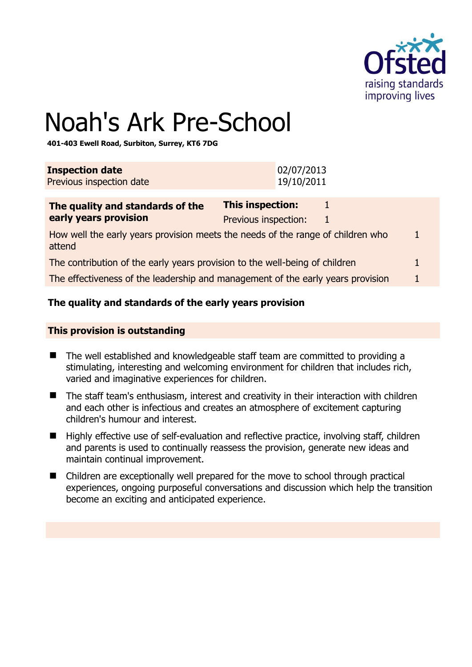

# Noah's Ark Pre-School

**401-403 Ewell Road, Surbiton, Surrey, KT6 7DG** 

| <b>Inspection date</b>   | 02/07/2013 |
|--------------------------|------------|
| Previous inspection date | 19/10/2011 |
|                          |            |

| The quality and standards of the                                                          | This inspection:     |  |    |
|-------------------------------------------------------------------------------------------|----------------------|--|----|
| early years provision                                                                     | Previous inspection: |  |    |
| How well the early years provision meets the needs of the range of children who<br>attend |                      |  | п. |
| The contribution of the early years provision to the well-being of children               |                      |  |    |
| The effectiveness of the leadership and management of the early years provision           |                      |  |    |

# **The quality and standards of the early years provision**

# **This provision is outstanding**

- The well established and knowledgeable staff team are committed to providing a stimulating, interesting and welcoming environment for children that includes rich, varied and imaginative experiences for children.
- The staff team's enthusiasm, interest and creativity in their interaction with children and each other is infectious and creates an atmosphere of excitement capturing children's humour and interest.
- Highly effective use of self-evaluation and reflective practice, involving staff, children and parents is used to continually reassess the provision, generate new ideas and maintain continual improvement.
- Children are exceptionally well prepared for the move to school through practical experiences, ongoing purposeful conversations and discussion which help the transition become an exciting and anticipated experience.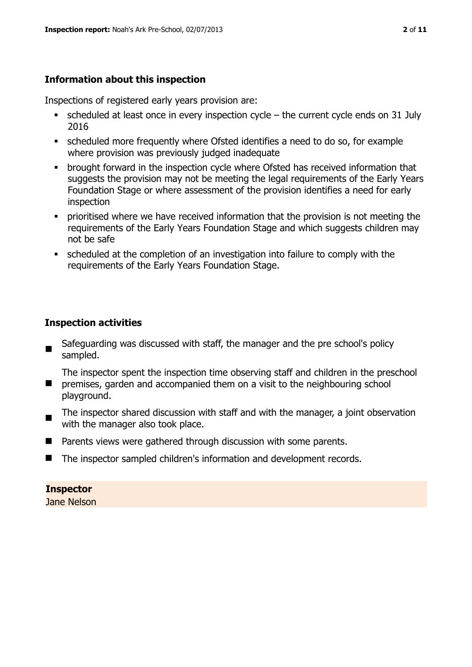# **Information about this inspection**

Inspections of registered early years provision are:

- $\bullet$  scheduled at least once in every inspection cycle the current cycle ends on 31 July 2016
- scheduled more frequently where Ofsted identifies a need to do so, for example where provision was previously judged inadequate
- **•** brought forward in the inspection cycle where Ofsted has received information that suggests the provision may not be meeting the legal requirements of the Early Years Foundation Stage or where assessment of the provision identifies a need for early inspection
- **•** prioritised where we have received information that the provision is not meeting the requirements of the Early Years Foundation Stage and which suggests children may not be safe
- scheduled at the completion of an investigation into failure to comply with the requirements of the Early Years Foundation Stage.

# **Inspection activities**

 Safeguarding was discussed with staff, the manager and the pre school's policy sampled.

 $\mathcal{L}_{\mathcal{A}}$ The inspector spent the inspection time observing staff and children in the preschool premises, garden and accompanied them on a visit to the neighbouring school

- playground.
- The inspector shared discussion with staff and with the manager, a joint observation with the manager also took place.
- Parents views were gathered through discussion with some parents.
- The inspector sampled children's information and development records.

# **Inspector**

Jane Nelson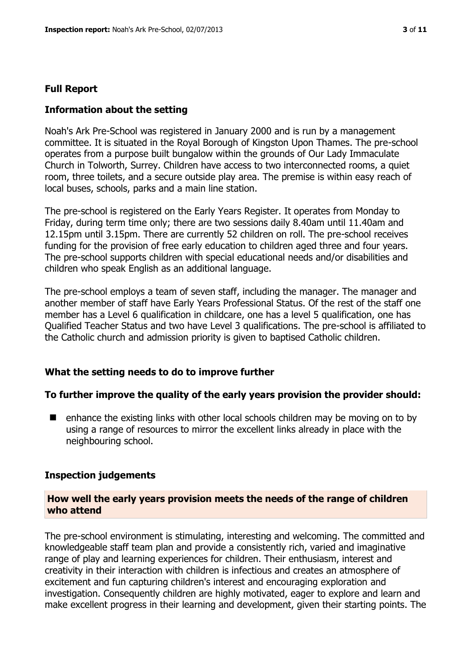# **Full Report**

# **Information about the setting**

Noah's Ark Pre-School was registered in January 2000 and is run by a management committee. It is situated in the Royal Borough of Kingston Upon Thames. The pre-school operates from a purpose built bungalow within the grounds of Our Lady Immaculate Church in Tolworth, Surrey. Children have access to two interconnected rooms, a quiet room, three toilets, and a secure outside play area. The premise is within easy reach of local buses, schools, parks and a main line station.

The pre-school is registered on the Early Years Register. It operates from Monday to Friday, during term time only; there are two sessions daily 8.40am until 11.40am and 12.15pm until 3.15pm. There are currently 52 children on roll. The pre-school receives funding for the provision of free early education to children aged three and four years. The pre-school supports children with special educational needs and/or disabilities and children who speak English as an additional language.

The pre-school employs a team of seven staff, including the manager. The manager and another member of staff have Early Years Professional Status. Of the rest of the staff one member has a Level 6 qualification in childcare, one has a level 5 qualification, one has Qualified Teacher Status and two have Level 3 qualifications. The pre-school is affiliated to the Catholic church and admission priority is given to baptised Catholic children.

# **What the setting needs to do to improve further**

# **To further improve the quality of the early years provision the provider should:**

 $\blacksquare$  enhance the existing links with other local schools children may be moving on to by using a range of resources to mirror the excellent links already in place with the neighbouring school.

#### **Inspection judgements**

# **How well the early years provision meets the needs of the range of children who attend**

The pre-school environment is stimulating, interesting and welcoming. The committed and knowledgeable staff team plan and provide a consistently rich, varied and imaginative range of play and learning experiences for children. Their enthusiasm, interest and creativity in their interaction with children is infectious and creates an atmosphere of excitement and fun capturing children's interest and encouraging exploration and investigation. Consequently children are highly motivated, eager to explore and learn and make excellent progress in their learning and development, given their starting points. The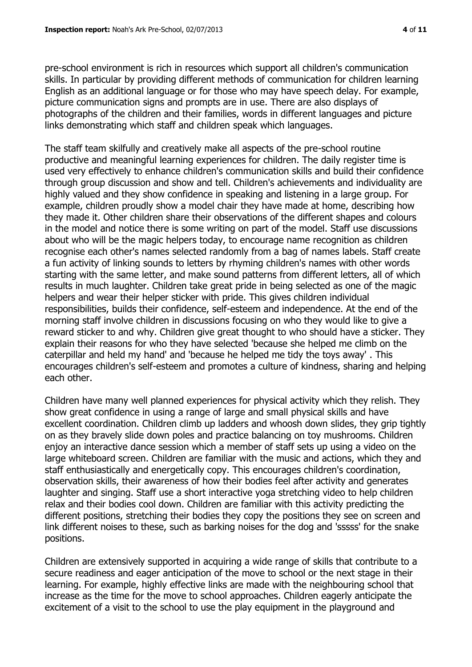pre-school environment is rich in resources which support all children's communication skills. In particular by providing different methods of communication for children learning English as an additional language or for those who may have speech delay. For example, picture communication signs and prompts are in use. There are also displays of photographs of the children and their families, words in different languages and picture links demonstrating which staff and children speak which languages.

The staff team skilfully and creatively make all aspects of the pre-school routine productive and meaningful learning experiences for children. The daily register time is used very effectively to enhance children's communication skills and build their confidence through group discussion and show and tell. Children's achievements and individuality are highly valued and they show confidence in speaking and listening in a large group. For example, children proudly show a model chair they have made at home, describing how they made it. Other children share their observations of the different shapes and colours in the model and notice there is some writing on part of the model. Staff use discussions about who will be the magic helpers today, to encourage name recognition as children recognise each other's names selected randomly from a bag of names labels. Staff create a fun activity of linking sounds to letters by rhyming children's names with other words starting with the same letter, and make sound patterns from different letters, all of which results in much laughter. Children take great pride in being selected as one of the magic helpers and wear their helper sticker with pride. This gives children individual responsibilities, builds their confidence, self-esteem and independence. At the end of the morning staff involve children in discussions focusing on who they would like to give a reward sticker to and why. Children give great thought to who should have a sticker. They explain their reasons for who they have selected 'because she helped me climb on the caterpillar and held my hand' and 'because he helped me tidy the toys away' . This encourages children's self-esteem and promotes a culture of kindness, sharing and helping each other.

Children have many well planned experiences for physical activity which they relish. They show great confidence in using a range of large and small physical skills and have excellent coordination. Children climb up ladders and whoosh down slides, they grip tightly on as they bravely slide down poles and practice balancing on toy mushrooms. Children enjoy an interactive dance session which a member of staff sets up using a video on the large whiteboard screen. Children are familiar with the music and actions, which they and staff enthusiastically and energetically copy. This encourages children's coordination, observation skills, their awareness of how their bodies feel after activity and generates laughter and singing. Staff use a short interactive yoga stretching video to help children relax and their bodies cool down. Children are familiar with this activity predicting the different positions, stretching their bodies they copy the positions they see on screen and link different noises to these, such as barking noises for the dog and 'sssss' for the snake positions.

Children are extensively supported in acquiring a wide range of skills that contribute to a secure readiness and eager anticipation of the move to school or the next stage in their learning. For example, highly effective links are made with the neighbouring school that increase as the time for the move to school approaches. Children eagerly anticipate the excitement of a visit to the school to use the play equipment in the playground and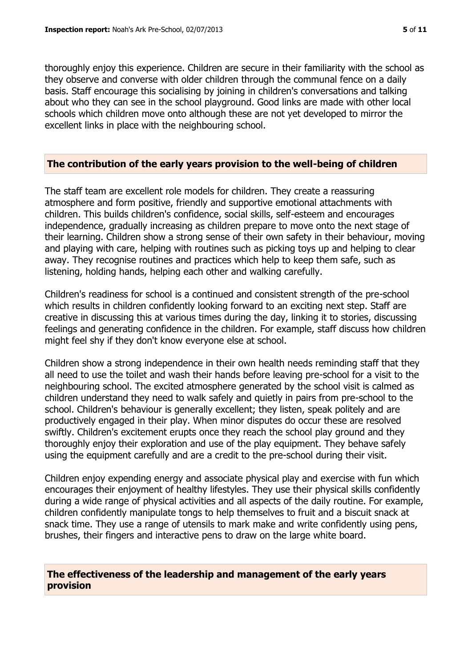thoroughly enjoy this experience. Children are secure in their familiarity with the school as they observe and converse with older children through the communal fence on a daily basis. Staff encourage this socialising by joining in children's conversations and talking about who they can see in the school playground. Good links are made with other local schools which children move onto although these are not yet developed to mirror the excellent links in place with the neighbouring school.

#### **The contribution of the early years provision to the well-being of children**

The staff team are excellent role models for children. They create a reassuring atmosphere and form positive, friendly and supportive emotional attachments with children. This builds children's confidence, social skills, self-esteem and encourages independence, gradually increasing as children prepare to move onto the next stage of their learning. Children show a strong sense of their own safety in their behaviour, moving and playing with care, helping with routines such as picking toys up and helping to clear away. They recognise routines and practices which help to keep them safe, such as listening, holding hands, helping each other and walking carefully.

Children's readiness for school is a continued and consistent strength of the pre-school which results in children confidently looking forward to an exciting next step. Staff are creative in discussing this at various times during the day, linking it to stories, discussing feelings and generating confidence in the children. For example, staff discuss how children might feel shy if they don't know everyone else at school.

Children show a strong independence in their own health needs reminding staff that they all need to use the toilet and wash their hands before leaving pre-school for a visit to the neighbouring school. The excited atmosphere generated by the school visit is calmed as children understand they need to walk safely and quietly in pairs from pre-school to the school. Children's behaviour is generally excellent; they listen, speak politely and are productively engaged in their play. When minor disputes do occur these are resolved swiftly. Children's excitement erupts once they reach the school play ground and they thoroughly enjoy their exploration and use of the play equipment. They behave safely using the equipment carefully and are a credit to the pre-school during their visit.

Children enjoy expending energy and associate physical play and exercise with fun which encourages their enjoyment of healthy lifestyles. They use their physical skills confidently during a wide range of physical activities and all aspects of the daily routine. For example, children confidently manipulate tongs to help themselves to fruit and a biscuit snack at snack time. They use a range of utensils to mark make and write confidently using pens, brushes, their fingers and interactive pens to draw on the large white board.

# **The effectiveness of the leadership and management of the early years provision**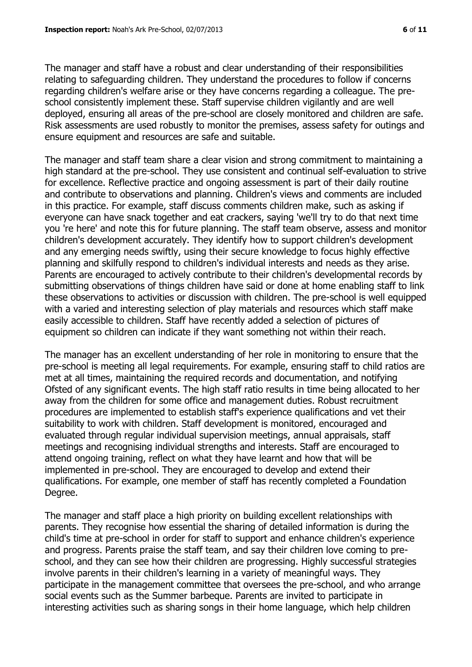The manager and staff have a robust and clear understanding of their responsibilities relating to safeguarding children. They understand the procedures to follow if concerns regarding children's welfare arise or they have concerns regarding a colleague. The preschool consistently implement these. Staff supervise children vigilantly and are well deployed, ensuring all areas of the pre-school are closely monitored and children are safe. Risk assessments are used robustly to monitor the premises, assess safety for outings and ensure equipment and resources are safe and suitable.

The manager and staff team share a clear vision and strong commitment to maintaining a high standard at the pre-school. They use consistent and continual self-evaluation to strive for excellence. Reflective practice and ongoing assessment is part of their daily routine and contribute to observations and planning. Children's views and comments are included in this practice. For example, staff discuss comments children make, such as asking if everyone can have snack together and eat crackers, saying 'we'll try to do that next time you 're here' and note this for future planning. The staff team observe, assess and monitor children's development accurately. They identify how to support children's development and any emerging needs swiftly, using their secure knowledge to focus highly effective planning and skilfully respond to children's individual interests and needs as they arise. Parents are encouraged to actively contribute to their children's developmental records by submitting observations of things children have said or done at home enabling staff to link these observations to activities or discussion with children. The pre-school is well equipped with a varied and interesting selection of play materials and resources which staff make easily accessible to children. Staff have recently added a selection of pictures of equipment so children can indicate if they want something not within their reach.

The manager has an excellent understanding of her role in monitoring to ensure that the pre-school is meeting all legal requirements. For example, ensuring staff to child ratios are met at all times, maintaining the required records and documentation, and notifying Ofsted of any significant events. The high staff ratio results in time being allocated to her away from the children for some office and management duties. Robust recruitment procedures are implemented to establish staff's experience qualifications and vet their suitability to work with children. Staff development is monitored, encouraged and evaluated through regular individual supervision meetings, annual appraisals, staff meetings and recognising individual strengths and interests. Staff are encouraged to attend ongoing training, reflect on what they have learnt and how that will be implemented in pre-school. They are encouraged to develop and extend their qualifications. For example, one member of staff has recently completed a Foundation Degree.

The manager and staff place a high priority on building excellent relationships with parents. They recognise how essential the sharing of detailed information is during the child's time at pre-school in order for staff to support and enhance children's experience and progress. Parents praise the staff team, and say their children love coming to preschool, and they can see how their children are progressing. Highly successful strategies involve parents in their children's learning in a variety of meaningful ways. They participate in the management committee that oversees the pre-school, and who arrange social events such as the Summer barbeque. Parents are invited to participate in interesting activities such as sharing songs in their home language, which help children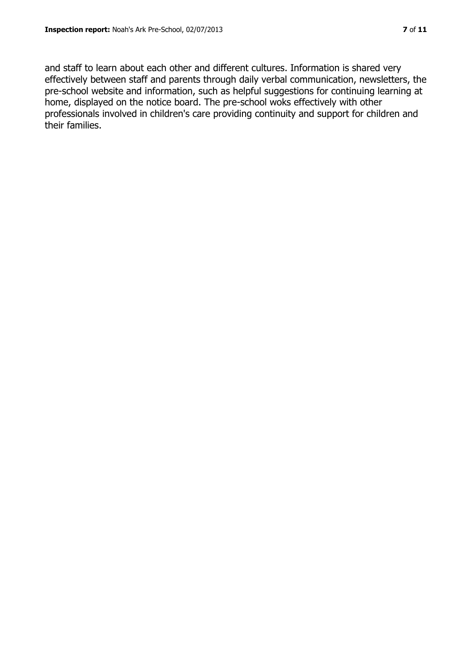and staff to learn about each other and different cultures. Information is shared very effectively between staff and parents through daily verbal communication, newsletters, the pre-school website and information, such as helpful suggestions for continuing learning at home, displayed on the notice board. The pre-school woks effectively with other professionals involved in children's care providing continuity and support for children and their families.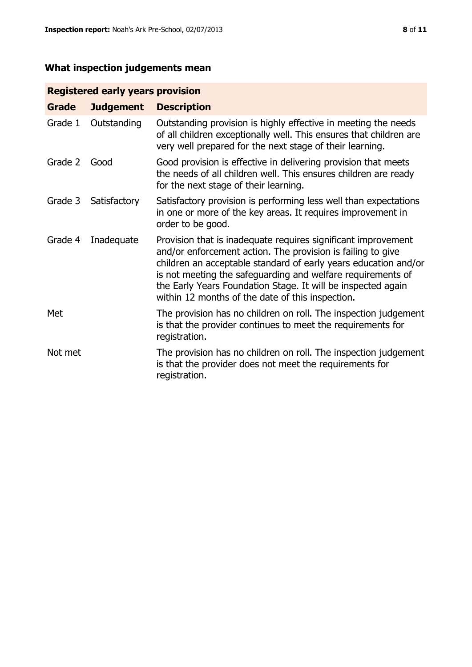# **What inspection judgements mean**

# **Registered early years provision**

| Grade   | <b>Judgement</b> | <b>Description</b>                                                                                                                                                                                                                                                                                                                                                                 |
|---------|------------------|------------------------------------------------------------------------------------------------------------------------------------------------------------------------------------------------------------------------------------------------------------------------------------------------------------------------------------------------------------------------------------|
| Grade 1 | Outstanding      | Outstanding provision is highly effective in meeting the needs<br>of all children exceptionally well. This ensures that children are<br>very well prepared for the next stage of their learning.                                                                                                                                                                                   |
| Grade 2 | Good             | Good provision is effective in delivering provision that meets<br>the needs of all children well. This ensures children are ready<br>for the next stage of their learning.                                                                                                                                                                                                         |
| Grade 3 | Satisfactory     | Satisfactory provision is performing less well than expectations<br>in one or more of the key areas. It requires improvement in<br>order to be good.                                                                                                                                                                                                                               |
| Grade 4 | Inadequate       | Provision that is inadequate requires significant improvement<br>and/or enforcement action. The provision is failing to give<br>children an acceptable standard of early years education and/or<br>is not meeting the safeguarding and welfare requirements of<br>the Early Years Foundation Stage. It will be inspected again<br>within 12 months of the date of this inspection. |
| Met     |                  | The provision has no children on roll. The inspection judgement<br>is that the provider continues to meet the requirements for<br>registration.                                                                                                                                                                                                                                    |
| Not met |                  | The provision has no children on roll. The inspection judgement<br>is that the provider does not meet the requirements for<br>registration.                                                                                                                                                                                                                                        |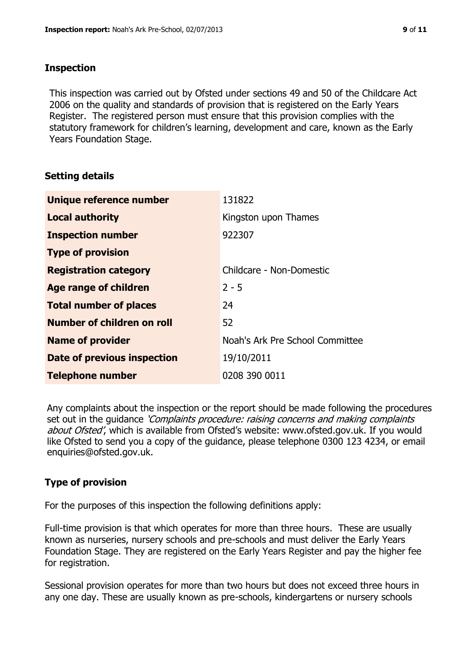# **Inspection**

This inspection was carried out by Ofsted under sections 49 and 50 of the Childcare Act 2006 on the quality and standards of provision that is registered on the Early Years Register. The registered person must ensure that this provision complies with the statutory framework for children's learning, development and care, known as the Early Years Foundation Stage.

# **Setting details**

| Unique reference number            | 131822                          |
|------------------------------------|---------------------------------|
| <b>Local authority</b>             | Kingston upon Thames            |
| <b>Inspection number</b>           | 922307                          |
| <b>Type of provision</b>           |                                 |
| <b>Registration category</b>       | Childcare - Non-Domestic        |
| <b>Age range of children</b>       | $2 - 5$                         |
| <b>Total number of places</b>      | 24                              |
| <b>Number of children on roll</b>  | 52                              |
| <b>Name of provider</b>            | Noah's Ark Pre School Committee |
| <b>Date of previous inspection</b> | 19/10/2011                      |
| <b>Telephone number</b>            | 0208 390 0011                   |

Any complaints about the inspection or the report should be made following the procedures set out in the guidance *'Complaints procedure: raising concerns and making complaints* about Ofsted', which is available from Ofsted's website: www.ofsted.gov.uk. If you would like Ofsted to send you a copy of the guidance, please telephone 0300 123 4234, or email enquiries@ofsted.gov.uk.

# **Type of provision**

For the purposes of this inspection the following definitions apply:

Full-time provision is that which operates for more than three hours. These are usually known as nurseries, nursery schools and pre-schools and must deliver the Early Years Foundation Stage. They are registered on the Early Years Register and pay the higher fee for registration.

Sessional provision operates for more than two hours but does not exceed three hours in any one day. These are usually known as pre-schools, kindergartens or nursery schools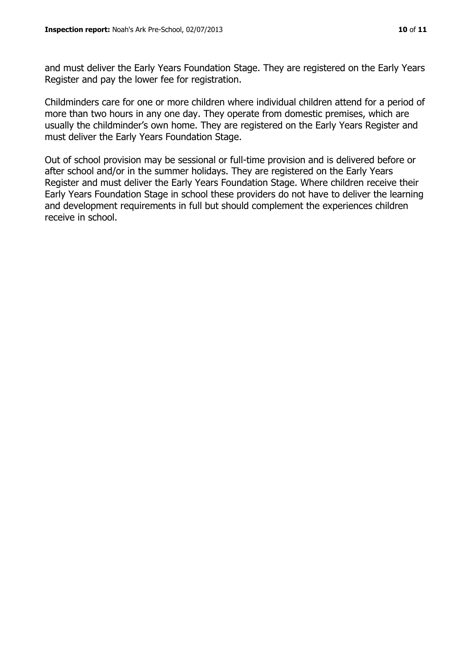and must deliver the Early Years Foundation Stage. They are registered on the Early Years Register and pay the lower fee for registration.

Childminders care for one or more children where individual children attend for a period of more than two hours in any one day. They operate from domestic premises, which are usually the childminder's own home. They are registered on the Early Years Register and must deliver the Early Years Foundation Stage.

Out of school provision may be sessional or full-time provision and is delivered before or after school and/or in the summer holidays. They are registered on the Early Years Register and must deliver the Early Years Foundation Stage. Where children receive their Early Years Foundation Stage in school these providers do not have to deliver the learning and development requirements in full but should complement the experiences children receive in school.